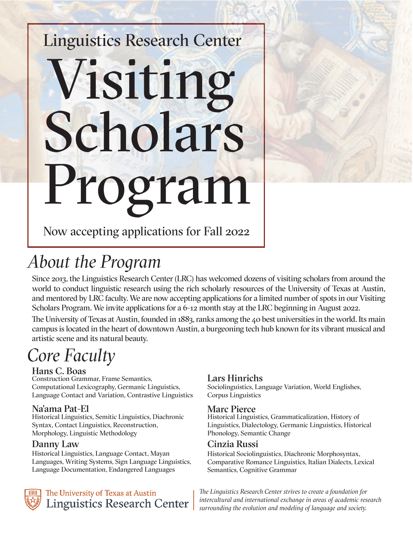# Linguistics Research Center Visiting Scholars Program



Now accepting applications for Fall 2022

## *About the Program*

Since 2013, the Linguistics Research Center (LRC) has welcomed dozens of visiting scholars from around the world to conduct linguistic research using the rich scholarly resources of the University of Texas at Austin, and mentored by LRC faculty. We are now accepting applications for a limited number of spots in our Visiting Scholars Program. We invite applications for a 6-12 month stay at the LRC beginning in August 2022.

The University of Texas at Austin, founded in 1883, ranks among the 40 best universities in the world. Its main campus is located in the heart of downtown Austin, a burgeoning tech hub known for its vibrant musical and artistic scene and its natural beauty.

## *Core Faculty*

#### Hans C. Boas

Construction Grammar, Frame Semantics, Computational Lexicography, Germanic Linguistics, Language Contact and Variation, Contrastive Linguistics

#### Na'ama Pat-El

Historical Linguistics, Semitic Linguistics, Diachronic Syntax, Contact Linguistics, Reconstruction, Morphology, Linguistic Methodology

#### Danny Law

Historical Linguistics, Language Contact, Mayan Languages, Writing Systems, Sign Language Linguistics, Language Documentation, Endangered Languages

The University of Texas at Austin **Linguistics Research Center** 

#### Lars Hinrichs

Sociolinguistics, Language Variation, World Englishes, Corpus Linguistics

#### Marc Pierce

Historical Linguistics, Grammaticalization, History of Linguistics, Dialectology, Germanic Linguistics, Historical Phonology, Semantic Change

#### Cinzia Russi

Historical Sociolinguistics, Diachronic Morphosyntax, Comparative Romance Linguistics, Italian Dialects, Lexical Semantics, Cognitive Grammar

*The Linguistics Research Center strives to create a foundation for intercultural and international exchange in areas of academic research surrounding the evolution and modeling of language and society.*